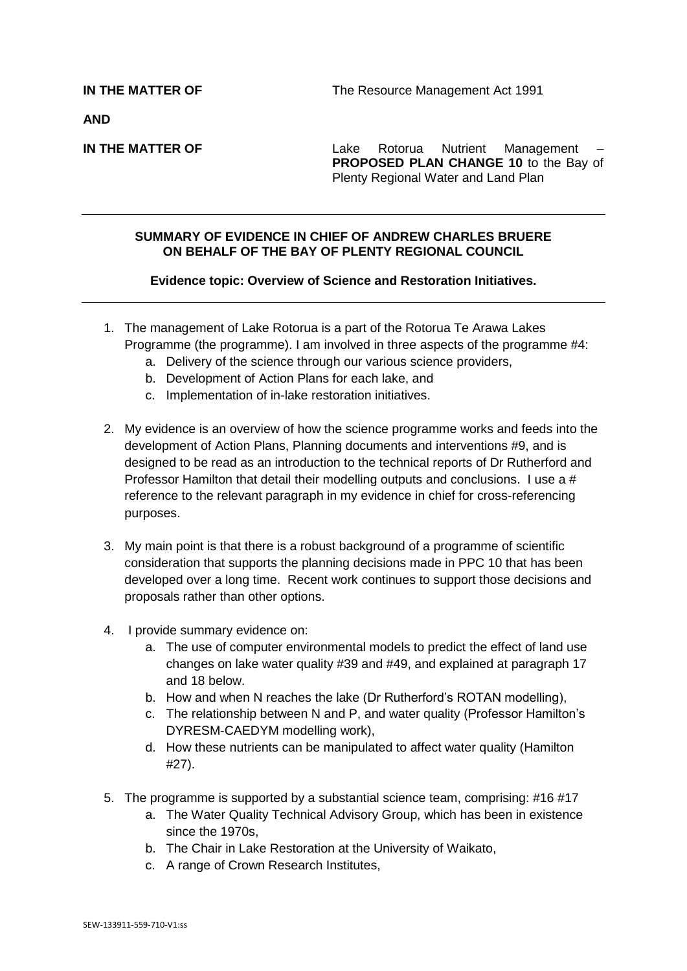**AND**

**IN THE MATTER OF THE Lake Rotorua Nutrient Management PROPOSED PLAN CHANGE 10** to the Bay of Plenty Regional Water and Land Plan

## **SUMMARY OF EVIDENCE IN CHIEF OF ANDREW CHARLES BRUERE ON BEHALF OF THE BAY OF PLENTY REGIONAL COUNCIL**

## **Evidence topic: Overview of Science and Restoration Initiatives.**

- 1. The management of Lake Rotorua is a part of the Rotorua Te Arawa Lakes Programme (the programme). I am involved in three aspects of the programme #4:
	- a. Delivery of the science through our various science providers,
	- b. Development of Action Plans for each lake, and
	- c. Implementation of in-lake restoration initiatives.
- 2. My evidence is an overview of how the science programme works and feeds into the development of Action Plans, Planning documents and interventions #9, and is designed to be read as an introduction to the technical reports of Dr Rutherford and Professor Hamilton that detail their modelling outputs and conclusions. I use a # reference to the relevant paragraph in my evidence in chief for cross-referencing purposes.
- 3. My main point is that there is a robust background of a programme of scientific consideration that supports the planning decisions made in PPC 10 that has been developed over a long time. Recent work continues to support those decisions and proposals rather than other options.
- 4. I provide summary evidence on:
	- a. The use of computer environmental models to predict the effect of land use changes on lake water quality #39 and #49, and explained at paragraph 17 and 18 below.
	- b. How and when N reaches the lake (Dr Rutherford's ROTAN modelling),
	- c. The relationship between N and P, and water quality (Professor Hamilton's DYRESM-CAEDYM modelling work),
	- d. How these nutrients can be manipulated to affect water quality (Hamilton #27).
- 5. The programme is supported by a substantial science team, comprising: #16 #17
	- a. The Water Quality Technical Advisory Group, which has been in existence since the 1970s,
	- b. The Chair in Lake Restoration at the University of Waikato,
	- c. A range of Crown Research Institutes,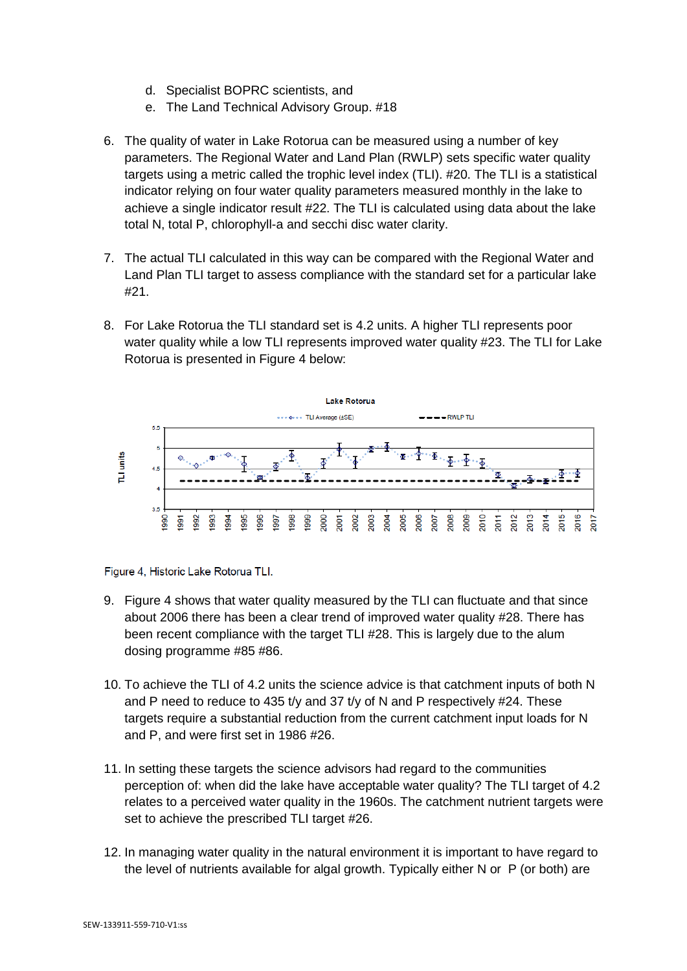- d. Specialist BOPRC scientists, and
- e. The Land Technical Advisory Group. #18
- 6. The quality of water in Lake Rotorua can be measured using a number of key parameters. The Regional Water and Land Plan (RWLP) sets specific water quality targets using a metric called the trophic level index (TLI). #20. The TLI is a statistical indicator relying on four water quality parameters measured monthly in the lake to achieve a single indicator result #22. The TLI is calculated using data about the lake total N, total P, chlorophyll-a and secchi disc water clarity.
- 7. The actual TLI calculated in this way can be compared with the Regional Water and Land Plan TLI target to assess compliance with the standard set for a particular lake #21.
- 8. For Lake Rotorua the TLI standard set is 4.2 units. A higher TLI represents poor water quality while a low TLI represents improved water quality #23. The TLI for Lake Rotorua is presented in Figure 4 below:



Figure 4, Historic Lake Rotorua TLI.

- 9. Figure 4 shows that water quality measured by the TLI can fluctuate and that since about 2006 there has been a clear trend of improved water quality #28. There has been recent compliance with the target TLI #28. This is largely due to the alum dosing programme #85 #86.
- 10. To achieve the TLI of 4.2 units the science advice is that catchment inputs of both N and P need to reduce to 435 t/y and 37 t/y of N and P respectively #24. These targets require a substantial reduction from the current catchment input loads for N and P, and were first set in 1986 #26.
- 11. In setting these targets the science advisors had regard to the communities perception of: when did the lake have acceptable water quality? The TLI target of 4.2 relates to a perceived water quality in the 1960s. The catchment nutrient targets were set to achieve the prescribed TLI target #26.
- 12. In managing water quality in the natural environment it is important to have regard to the level of nutrients available for algal growth. Typically either N or P (or both) are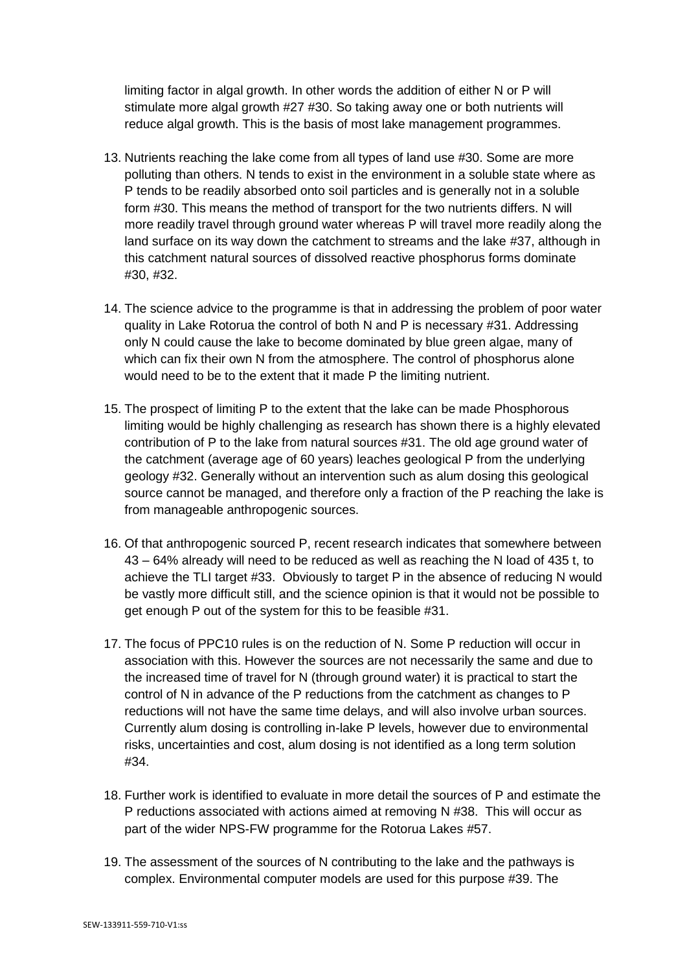limiting factor in algal growth. In other words the addition of either N or P will stimulate more algal growth #27 #30. So taking away one or both nutrients will reduce algal growth. This is the basis of most lake management programmes.

- 13. Nutrients reaching the lake come from all types of land use #30. Some are more polluting than others. N tends to exist in the environment in a soluble state where as P tends to be readily absorbed onto soil particles and is generally not in a soluble form #30. This means the method of transport for the two nutrients differs. N will more readily travel through ground water whereas P will travel more readily along the land surface on its way down the catchment to streams and the lake #37, although in this catchment natural sources of dissolved reactive phosphorus forms dominate #30, #32.
- 14. The science advice to the programme is that in addressing the problem of poor water quality in Lake Rotorua the control of both N and P is necessary #31. Addressing only N could cause the lake to become dominated by blue green algae, many of which can fix their own N from the atmosphere. The control of phosphorus alone would need to be to the extent that it made P the limiting nutrient.
- 15. The prospect of limiting P to the extent that the lake can be made Phosphorous limiting would be highly challenging as research has shown there is a highly elevated contribution of P to the lake from natural sources #31. The old age ground water of the catchment (average age of 60 years) leaches geological P from the underlying geology #32. Generally without an intervention such as alum dosing this geological source cannot be managed, and therefore only a fraction of the P reaching the lake is from manageable anthropogenic sources.
- 16. Of that anthropogenic sourced P, recent research indicates that somewhere between 43 – 64% already will need to be reduced as well as reaching the N load of 435 t, to achieve the TLI target #33. Obviously to target P in the absence of reducing N would be vastly more difficult still, and the science opinion is that it would not be possible to get enough P out of the system for this to be feasible #31.
- 17. The focus of PPC10 rules is on the reduction of N. Some P reduction will occur in association with this. However the sources are not necessarily the same and due to the increased time of travel for N (through ground water) it is practical to start the control of N in advance of the P reductions from the catchment as changes to P reductions will not have the same time delays, and will also involve urban sources. Currently alum dosing is controlling in-lake P levels, however due to environmental risks, uncertainties and cost, alum dosing is not identified as a long term solution #34.
- 18. Further work is identified to evaluate in more detail the sources of P and estimate the P reductions associated with actions aimed at removing N #38. This will occur as part of the wider NPS-FW programme for the Rotorua Lakes #57.
- 19. The assessment of the sources of N contributing to the lake and the pathways is complex. Environmental computer models are used for this purpose #39. The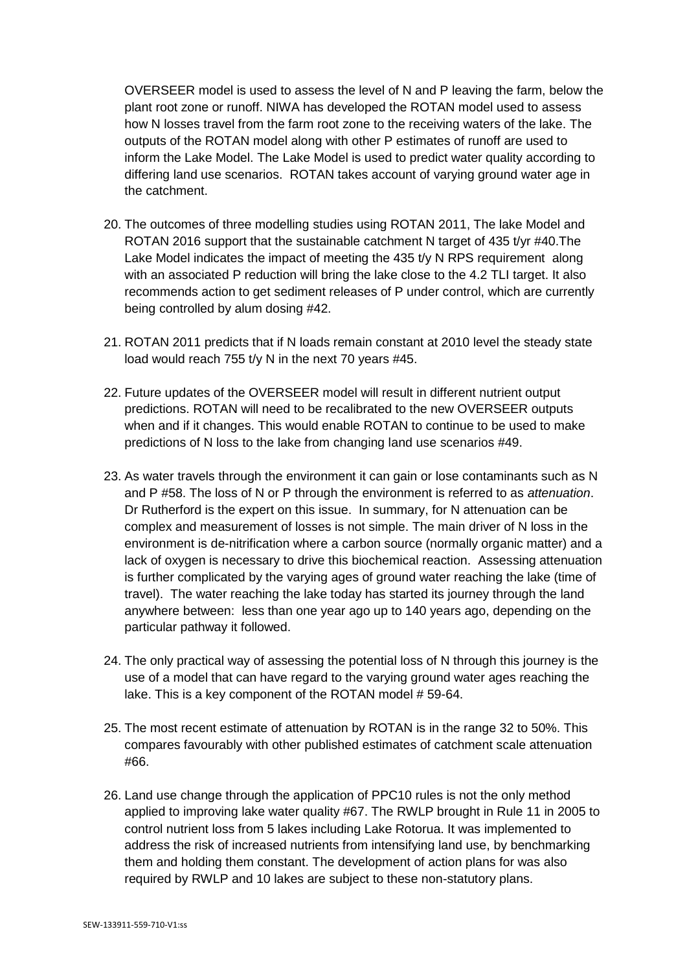OVERSEER model is used to assess the level of N and P leaving the farm, below the plant root zone or runoff. NIWA has developed the ROTAN model used to assess how N losses travel from the farm root zone to the receiving waters of the lake. The outputs of the ROTAN model along with other P estimates of runoff are used to inform the Lake Model. The Lake Model is used to predict water quality according to differing land use scenarios. ROTAN takes account of varying ground water age in the catchment.

- 20. The outcomes of three modelling studies using ROTAN 2011, The lake Model and ROTAN 2016 support that the sustainable catchment N target of 435 t/yr #40.The Lake Model indicates the impact of meeting the  $435$  t/y N RPS requirement along with an associated P reduction will bring the lake close to the 4.2 TLI target. It also recommends action to get sediment releases of P under control, which are currently being controlled by alum dosing #42.
- 21. ROTAN 2011 predicts that if N loads remain constant at 2010 level the steady state load would reach 755 t/y N in the next 70 years #45.
- 22. Future updates of the OVERSEER model will result in different nutrient output predictions. ROTAN will need to be recalibrated to the new OVERSEER outputs when and if it changes. This would enable ROTAN to continue to be used to make predictions of N loss to the lake from changing land use scenarios #49.
- 23. As water travels through the environment it can gain or lose contaminants such as N and P #58. The loss of N or P through the environment is referred to as *attenuation*. Dr Rutherford is the expert on this issue. In summary, for N attenuation can be complex and measurement of losses is not simple. The main driver of N loss in the environment is de-nitrification where a carbon source (normally organic matter) and a lack of oxygen is necessary to drive this biochemical reaction. Assessing attenuation is further complicated by the varying ages of ground water reaching the lake (time of travel). The water reaching the lake today has started its journey through the land anywhere between: less than one year ago up to 140 years ago, depending on the particular pathway it followed.
- 24. The only practical way of assessing the potential loss of N through this journey is the use of a model that can have regard to the varying ground water ages reaching the lake. This is a key component of the ROTAN model # 59-64.
- 25. The most recent estimate of attenuation by ROTAN is in the range 32 to 50%. This compares favourably with other published estimates of catchment scale attenuation #66.
- 26. Land use change through the application of PPC10 rules is not the only method applied to improving lake water quality #67. The RWLP brought in Rule 11 in 2005 to control nutrient loss from 5 lakes including Lake Rotorua. It was implemented to address the risk of increased nutrients from intensifying land use, by benchmarking them and holding them constant. The development of action plans for was also required by RWLP and 10 lakes are subject to these non-statutory plans.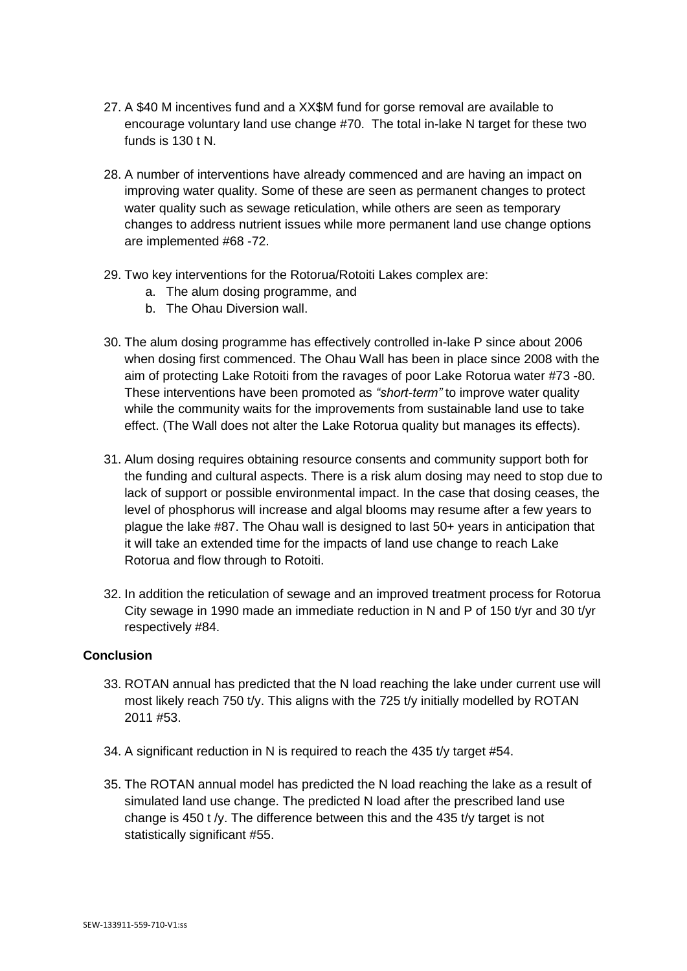- 27. A \$40 M incentives fund and a XX\$M fund for gorse removal are available to encourage voluntary land use change #70. The total in-lake N target for these two funds is 130 t N.
- 28. A number of interventions have already commenced and are having an impact on improving water quality. Some of these are seen as permanent changes to protect water quality such as sewage reticulation, while others are seen as temporary changes to address nutrient issues while more permanent land use change options are implemented #68 -72.
- 29. Two key interventions for the Rotorua/Rotoiti Lakes complex are:
	- a. The alum dosing programme, and
	- b. The Ohau Diversion wall.
- 30. The alum dosing programme has effectively controlled in-lake P since about 2006 when dosing first commenced. The Ohau Wall has been in place since 2008 with the aim of protecting Lake Rotoiti from the ravages of poor Lake Rotorua water #73 -80. These interventions have been promoted as *"short-term"* to improve water quality while the community waits for the improvements from sustainable land use to take effect. (The Wall does not alter the Lake Rotorua quality but manages its effects).
- 31. Alum dosing requires obtaining resource consents and community support both for the funding and cultural aspects. There is a risk alum dosing may need to stop due to lack of support or possible environmental impact. In the case that dosing ceases, the level of phosphorus will increase and algal blooms may resume after a few years to plague the lake #87. The Ohau wall is designed to last 50+ years in anticipation that it will take an extended time for the impacts of land use change to reach Lake Rotorua and flow through to Rotoiti.
- 32. In addition the reticulation of sewage and an improved treatment process for Rotorua City sewage in 1990 made an immediate reduction in N and P of 150 t/yr and 30 t/yr respectively #84.

## **Conclusion**

- 33. ROTAN annual has predicted that the N load reaching the lake under current use will most likely reach 750 t/y. This aligns with the 725 t/y initially modelled by ROTAN 2011 #53.
- 34. A significant reduction in N is required to reach the 435 t/y target #54.
- 35. The ROTAN annual model has predicted the N load reaching the lake as a result of simulated land use change. The predicted N load after the prescribed land use change is 450 t /y. The difference between this and the 435 t/y target is not statistically significant #55.